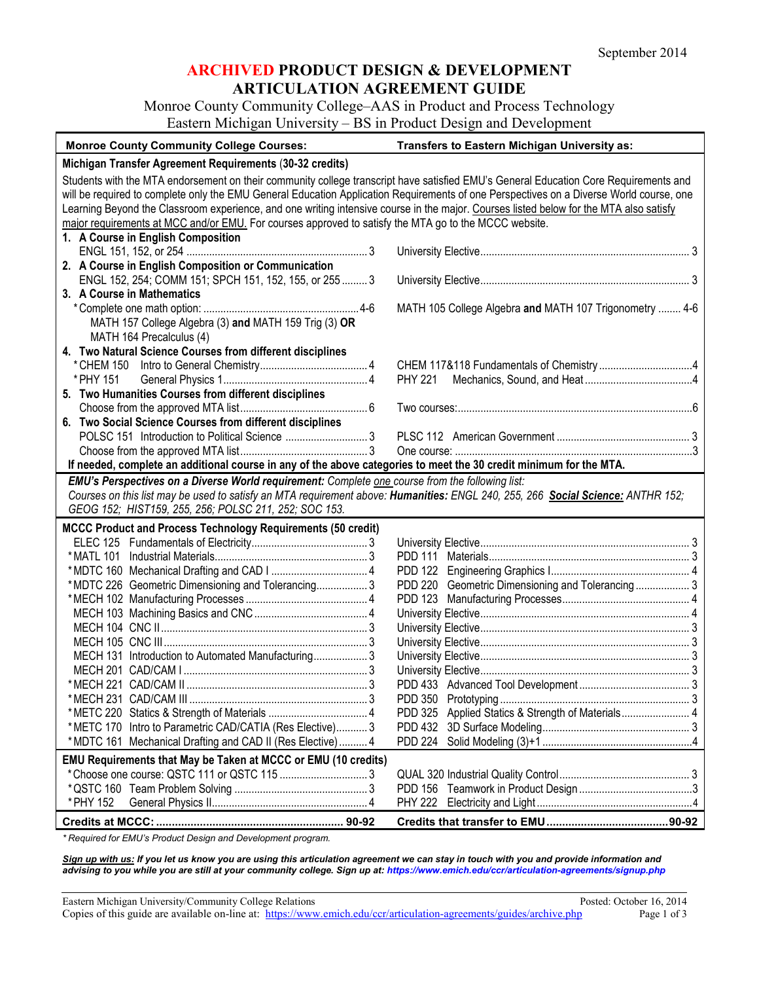### **ARCHIVED PRODUCT DESIGN & DEVELOPMENT ARTICULATION AGREEMENT GUIDE**

Monroe County Community College–AAS in Product and Process Technology Eastern Michigan University – BS in Product Design and Development

| <b>Monroe County Community College Courses:</b>                                                                                                                                                                                                                                                                                                                                                                                                                                                                                    | Transfers to Eastern Michigan University as:            |  |  |  |
|------------------------------------------------------------------------------------------------------------------------------------------------------------------------------------------------------------------------------------------------------------------------------------------------------------------------------------------------------------------------------------------------------------------------------------------------------------------------------------------------------------------------------------|---------------------------------------------------------|--|--|--|
| Michigan Transfer Agreement Requirements (30-32 credits)                                                                                                                                                                                                                                                                                                                                                                                                                                                                           |                                                         |  |  |  |
| Students with the MTA endorsement on their community college transcript have satisfied EMU's General Education Core Requirements and<br>will be required to complete only the EMU General Education Application Requirements of one Perspectives on a Diverse World course, one<br>Learning Beyond the Classroom experience, and one writing intensive course in the major. Courses listed below for the MTA also satisfy<br>major requirements at MCC and/or EMU. For courses approved to satisfy the MTA go to the MCCC website. |                                                         |  |  |  |
| 1. A Course in English Composition                                                                                                                                                                                                                                                                                                                                                                                                                                                                                                 |                                                         |  |  |  |
| 2. A Course in English Composition or Communication                                                                                                                                                                                                                                                                                                                                                                                                                                                                                |                                                         |  |  |  |
| ENGL 152, 254; COMM 151; SPCH 151, 152, 155, or 255  3                                                                                                                                                                                                                                                                                                                                                                                                                                                                             |                                                         |  |  |  |
| 3. A Course in Mathematics                                                                                                                                                                                                                                                                                                                                                                                                                                                                                                         | MATH 105 College Algebra and MATH 107 Trigonometry  4-6 |  |  |  |
| MATH 157 College Algebra (3) and MATH 159 Trig (3) OR                                                                                                                                                                                                                                                                                                                                                                                                                                                                              |                                                         |  |  |  |
| MATH 164 Precalculus (4)                                                                                                                                                                                                                                                                                                                                                                                                                                                                                                           |                                                         |  |  |  |
| 4. Two Natural Science Courses from different disciplines                                                                                                                                                                                                                                                                                                                                                                                                                                                                          |                                                         |  |  |  |
|                                                                                                                                                                                                                                                                                                                                                                                                                                                                                                                                    |                                                         |  |  |  |
| * PHY 151<br>5. Two Humanities Courses from different disciplines                                                                                                                                                                                                                                                                                                                                                                                                                                                                  | <b>PHY 221</b>                                          |  |  |  |
|                                                                                                                                                                                                                                                                                                                                                                                                                                                                                                                                    |                                                         |  |  |  |
| 6. Two Social Science Courses from different disciplines                                                                                                                                                                                                                                                                                                                                                                                                                                                                           |                                                         |  |  |  |
|                                                                                                                                                                                                                                                                                                                                                                                                                                                                                                                                    |                                                         |  |  |  |
|                                                                                                                                                                                                                                                                                                                                                                                                                                                                                                                                    |                                                         |  |  |  |
| If needed, complete an additional course in any of the above categories to meet the 30 credit minimum for the MTA.                                                                                                                                                                                                                                                                                                                                                                                                                 |                                                         |  |  |  |
| EMU's Perspectives on a Diverse World requirement: Complete one course from the following list:                                                                                                                                                                                                                                                                                                                                                                                                                                    |                                                         |  |  |  |
| Courses on this list may be used to satisfy an MTA requirement above: Humanities: ENGL 240, 255, 266 Social Science: ANTHR 152;<br>GEOG 152; HIST159, 255, 256; POLSC 211, 252; SOC 153.                                                                                                                                                                                                                                                                                                                                           |                                                         |  |  |  |
| <b>MCCC Product and Process Technology Requirements (50 credit)</b>                                                                                                                                                                                                                                                                                                                                                                                                                                                                |                                                         |  |  |  |
|                                                                                                                                                                                                                                                                                                                                                                                                                                                                                                                                    |                                                         |  |  |  |
|                                                                                                                                                                                                                                                                                                                                                                                                                                                                                                                                    |                                                         |  |  |  |
|                                                                                                                                                                                                                                                                                                                                                                                                                                                                                                                                    |                                                         |  |  |  |
| *MDTC 226 Geometric Dimensioning and Tolerancing 3                                                                                                                                                                                                                                                                                                                                                                                                                                                                                 | PDD 220 Geometric Dimensioning and Tolerancing 3        |  |  |  |
|                                                                                                                                                                                                                                                                                                                                                                                                                                                                                                                                    |                                                         |  |  |  |
|                                                                                                                                                                                                                                                                                                                                                                                                                                                                                                                                    |                                                         |  |  |  |
|                                                                                                                                                                                                                                                                                                                                                                                                                                                                                                                                    |                                                         |  |  |  |
| MECH 131 Introduction to Automated Manufacturing3                                                                                                                                                                                                                                                                                                                                                                                                                                                                                  |                                                         |  |  |  |
|                                                                                                                                                                                                                                                                                                                                                                                                                                                                                                                                    |                                                         |  |  |  |
|                                                                                                                                                                                                                                                                                                                                                                                                                                                                                                                                    |                                                         |  |  |  |
|                                                                                                                                                                                                                                                                                                                                                                                                                                                                                                                                    |                                                         |  |  |  |
|                                                                                                                                                                                                                                                                                                                                                                                                                                                                                                                                    | PDD 325                                                 |  |  |  |
| *METC 170 Intro to Parametric CAD/CATIA (Res Elective) 3<br>*MDTC 161 Mechanical Drafting and CAD II (Res Elective) 4                                                                                                                                                                                                                                                                                                                                                                                                              |                                                         |  |  |  |
| EMU Requirements that May be Taken at MCCC or EMU (10 credits)                                                                                                                                                                                                                                                                                                                                                                                                                                                                     |                                                         |  |  |  |
|                                                                                                                                                                                                                                                                                                                                                                                                                                                                                                                                    |                                                         |  |  |  |
|                                                                                                                                                                                                                                                                                                                                                                                                                                                                                                                                    | PDD 156                                                 |  |  |  |
| * PHY 152                                                                                                                                                                                                                                                                                                                                                                                                                                                                                                                          | <b>PHY 222</b>                                          |  |  |  |
|                                                                                                                                                                                                                                                                                                                                                                                                                                                                                                                                    |                                                         |  |  |  |

*\* Required for EMU's Product Design and Development program.* 

*Sign up with us: If you let us know you are using this articulation agreement we can stay in touch with you and provide information and advising to you while you are still at your community college. Sign up at: https://www.emich.edu/ccr/articulation-agreements/signup.php*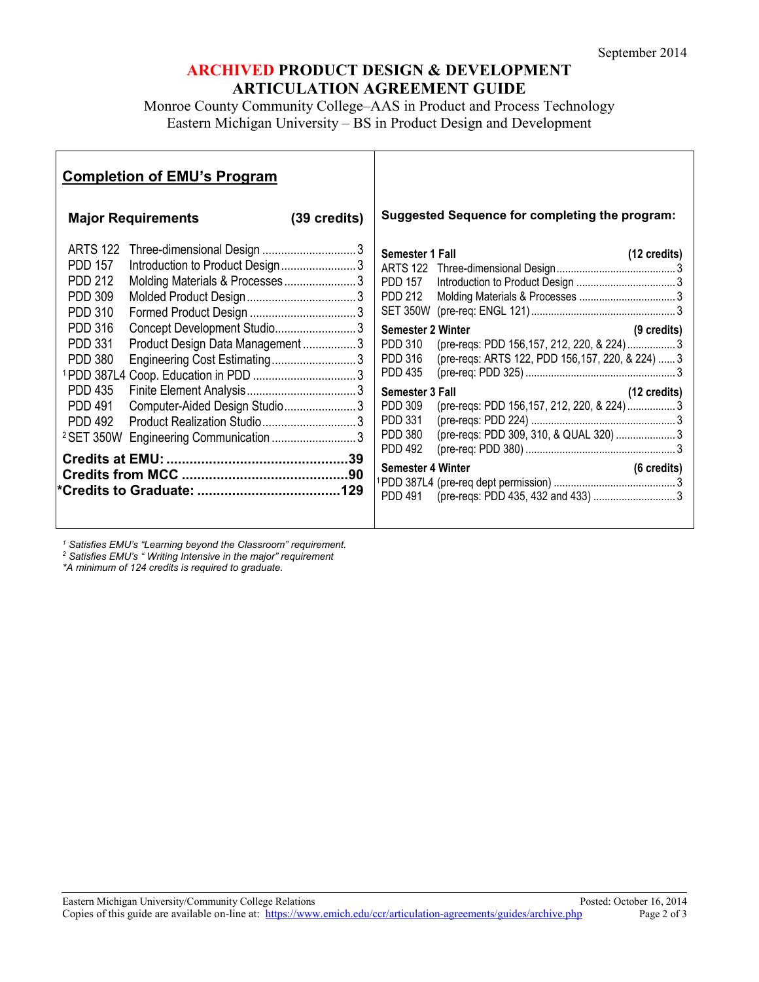## **ARCHIVED PRODUCT DESIGN & DEVELOPMENT ARTICULATION AGREEMENT GUIDE**

Monroe County Community College–AAS in Product and Process Technology Eastern Michigan University – BS in Product Design and Development

| <b>Completion of EMU's Program</b>                                                                                                                                                                                                                                                                                                                                                                                                                                                             |              |                                                                                                                                                                                                                                                    |                                                                                                                                                                |                             |
|------------------------------------------------------------------------------------------------------------------------------------------------------------------------------------------------------------------------------------------------------------------------------------------------------------------------------------------------------------------------------------------------------------------------------------------------------------------------------------------------|--------------|----------------------------------------------------------------------------------------------------------------------------------------------------------------------------------------------------------------------------------------------------|----------------------------------------------------------------------------------------------------------------------------------------------------------------|-----------------------------|
| <b>Major Requirements</b>                                                                                                                                                                                                                                                                                                                                                                                                                                                                      | (39 credits) |                                                                                                                                                                                                                                                    | <b>Suggested Sequence for completing the program:</b>                                                                                                          |                             |
| <b>ARTS 122</b><br>Three-dimensional Design 3<br>Introduction to Product Design3<br><b>PDD 157</b><br><b>PDD 212</b><br>Molding Materials & Processes3<br><b>PDD 309</b><br><b>PDD 310</b><br>Concept Development Studio3<br><b>PDD 316</b><br><b>PDD 331</b><br>Product Design Data Management3<br><b>PDD 380</b><br>Engineering Cost Estimating3<br><b>PDD 435</b><br>Computer-Aided Design Studio3<br><b>PDD 491</b><br><b>PDD 492</b><br><sup>2</sup> SET 350W Engineering Communication 3 |              | Semester 1 Fall<br><b>PDD 157</b><br><b>PDD 212</b><br><b>Semester 2 Winter</b><br><b>PDD 310</b><br><b>PDD 316</b><br><b>PDD 435</b><br>Semester 3 Fall<br><b>PDD 309</b><br><b>PDD 331</b><br><b>PDD 380</b><br><b>PDD 492</b><br><b>PDD 491</b> | (pre-reqs: PDD 156,157, 212, 220, & 224)  3<br>(pre-reqs: ARTS 122, PDD 156,157, 220, & 224)  3<br>(12 credits)<br>(pre-reqs: PDD 156,157, 212, 220, & 224)  3 | (12 credits)<br>(9 credits) |
|                                                                                                                                                                                                                                                                                                                                                                                                                                                                                                |              |                                                                                                                                                                                                                                                    |                                                                                                                                                                |                             |

*<sup>1</sup> Satisfies EMU's "Learning beyond the Classroom" requirement.*

*<sup>2</sup> Satisfies EMU's " Writing Intensive in the major" requirement*

*\*A minimum of 124 credits is required to graduate.*